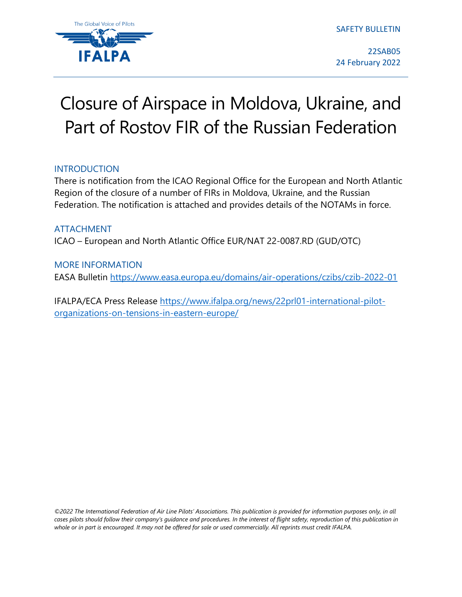The Global Voice of Pilots

SAFETY BULLETIN

22SAB05 24 February 2022

# Closure of Airspace in Moldova, Ukraine, and Part of Rostov FIR of the Russian Federation

### INTRODUCTION

There is notification from the ICAO Regional Office for the European and North Atlantic Region of the closure of a number of FIRs in Moldova, Ukraine, and the Russian Federation. The notification is attached and provides details of the NOTAMs in force.

## ATTACHMENT ICAO – European and North Atlantic Office EUR/NAT 22-0087.RD (GUD/OTC)

### MORE INFORMATION

EASA Bulletin<https://www.easa.europa.eu/domains/air-operations/czibs/czib-2022-01>

IFALPA/ECA Press Release [https://www.ifalpa.org/news/22prl01-international-pilot](https://www.ifalpa.org/news/22prl01-international-pilot-organizations-on-tensions-in-eastern-europe/)[organizations-on-tensions-in-eastern-europe/](https://www.ifalpa.org/news/22prl01-international-pilot-organizations-on-tensions-in-eastern-europe/)

*©2022 The International Federation of Air Line Pilots' Associations. This publication is provided for information purposes only, in all*  cases pilots should follow their company's quidance and procedures. In the interest of flight safety, reproduction of this publication in *whole or in part is encouraged. It may not be offered for sale or used commercially. All reprints must credit IFALPA.*